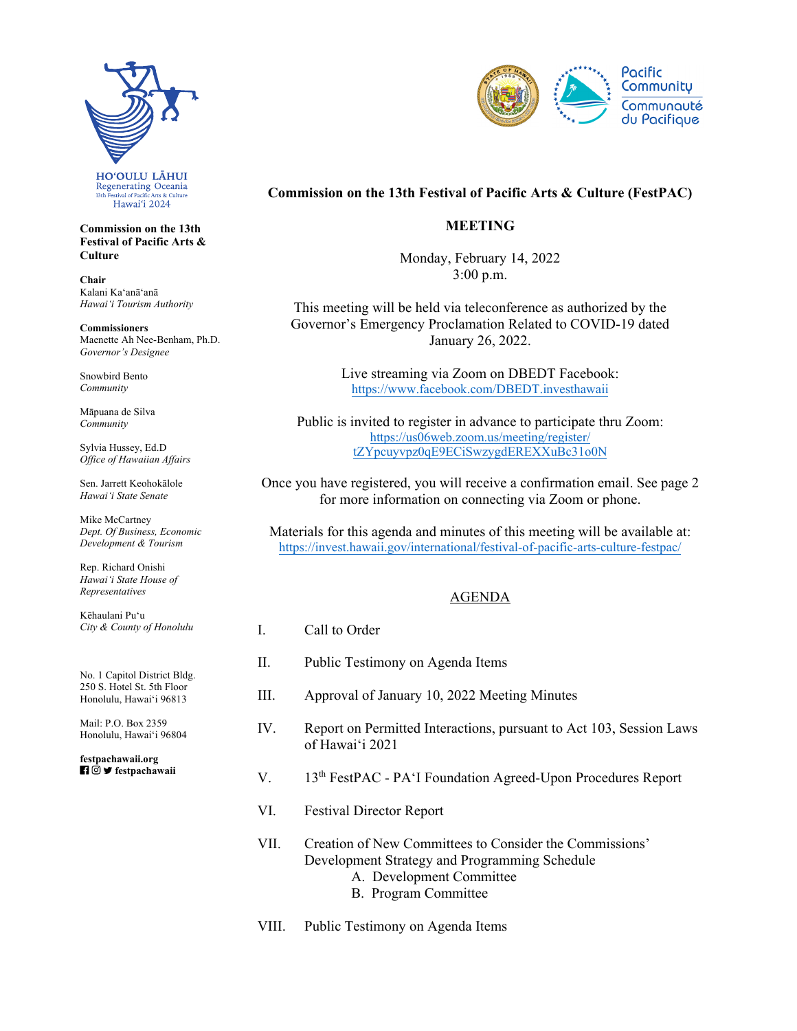

**Commission on the 13th Festival of Pacific Arts & Culture** 

**Chair**  Kalani Kaʻanāʻanā *Hawaiʻi Tourism Authority* 

**Commissioners**  Maenette Ah Nee-Benham, Ph.D. *Governor's Designee* 

Snowbird Bento *Community* 

Māpuana de Silva *Community* 

Sylvia Hussey, Ed.D *Office of Hawaiian Affairs* 

Sen. Jarrett Keohokālole *Hawaiʻi State Senate* 

Mike McCartney *Dept. Of Business, Economic Development & Tourism* 

Rep. Richard Onishi *Hawai'i State House of Representatives* 

Kēhaulani Puʻu *City & County of Honolulu* 

No. 1 Capitol District Bldg. 250 S. Hotel St. 5th Floor Honolulu, Hawaiʻi 96813

Mail: P.O. Box 2359 Honolulu, Hawaiʻi 96804

 **festpachawaii [festpachawaii.org](https://festpachawaii.org)** 



# **Commission on the 13th Festival of Pacific Arts & Culture (FestPAC)**

## **MEETING**

Monday, February 14, 2022 3:00 p.m.

This meeting will be held via teleconference as authorized by the Governor's Emergency Proclamation Related to COVID-19 dated January 26, 2022.

> Live streaming via Zoom on DBEDT Facebook: <https://www.facebook.com/DBEDT.investhawaii>

Public is invited to register in advance to participate thru Zoom: https://us06web.zoom.us/meeting/register/ [tZYpcuyvpz0qE9ECiSwzygdEREXXuBc31o0N](https://us06web.zoom.us/meeting/register/tZYpcuyvpz0qE9ECiSwzygdEREXXuBc31o0N)

Once you have registered, you will receive a confirmation email. See page 2 for more information on connecting via Zoom or phone.

Materials for this agenda and minutes of this meeting will be available at: [https://invest.hawaii.gov/international/festival-of-pacific-arts-culture-festpac/](https://invest.hawaii.gov/international/festival-of-pacific-arts-culture-festpac)

## AGENDA

| Call to Order                                                                                                                                                |
|--------------------------------------------------------------------------------------------------------------------------------------------------------------|
| Public Testimony on Agenda Items                                                                                                                             |
| Approval of January 10, 2022 Meeting Minutes                                                                                                                 |
| Report on Permitted Interactions, pursuant to Act 103, Session Laws<br>of Hawai'i 2021                                                                       |
| 13 <sup>th</sup> FestPAC - PA'I Foundation Agreed-Upon Procedures Report                                                                                     |
| <b>Festival Director Report</b>                                                                                                                              |
| Creation of New Committees to Consider the Commissions'<br>Development Strategy and Programming Schedule<br>A. Development Committee<br>B. Program Committee |
|                                                                                                                                                              |

VIII. Public Testimony on Agenda Items